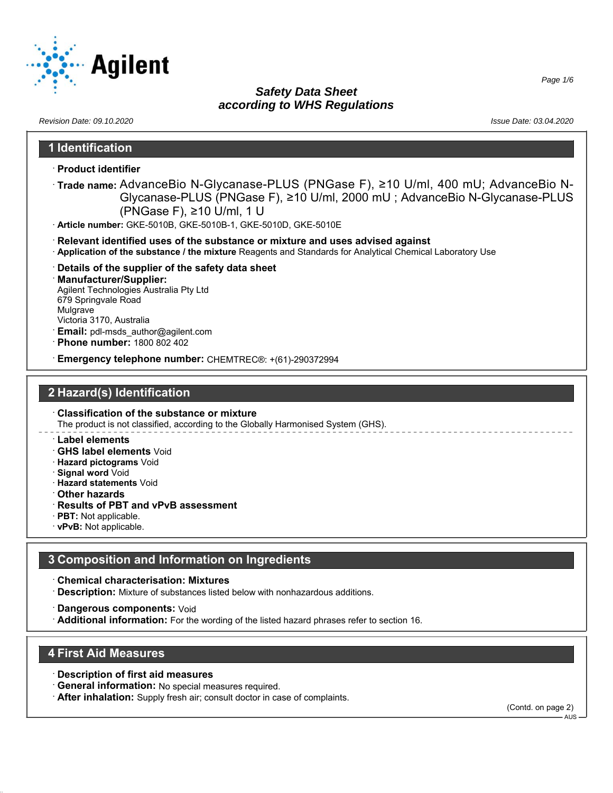

*Page 1/6*

| Revision Date: 09.10.2020                                                                                                                                                                                                                                                    | Issue Date: 03.04.2020 |
|------------------------------------------------------------------------------------------------------------------------------------------------------------------------------------------------------------------------------------------------------------------------------|------------------------|
| 1 Identification                                                                                                                                                                                                                                                             |                        |
| <b>· Product identifier</b>                                                                                                                                                                                                                                                  |                        |
| ·Trade name: AdvanceBio N-Glycanase-PLUS (PNGase F), ≥10 U/ml, 400 mU; AdvanceBio N-<br>Glycanase-PLUS (PNGase F), ≥10 U/ml, 2000 mU ; AdvanceBio N-Glycanase-PLUS<br>(PNGase F), ≥10 U/ml, 1 U<br>· Article number: GKE-5010B, GKE-5010B-1, GKE-5010D, GKE-5010E            |                        |
| Relevant identified uses of the substance or mixture and uses advised against<br>Application of the substance / the mixture Reagents and Standards for Analytical Chemical Laboratory Use                                                                                    |                        |
| Details of the supplier of the safety data sheet<br><b>Manufacturer/Supplier:</b><br>Agilent Technologies Australia Pty Ltd<br>679 Springvale Road<br>Mulgrave<br>Victoria 3170, Australia<br><b>Email:</b> pdl-msds author@agilent.com<br><b>Phone number: 1800 802 402</b> |                        |
| Emergency telephone number: CHEMTREC®: +(61)-290372994                                                                                                                                                                                                                       |                        |
| 2 Hazard(s) Identification                                                                                                                                                                                                                                                   |                        |
| <b>Classification of the substance or mixture</b><br>The product is not classified, according to the Globally Harmonised System (GHS).                                                                                                                                       |                        |
| <b>Label elements</b><br><b>GHS label elements Void</b><br>Hazard pictograms Void<br>Cianal word Void                                                                                                                                                                        |                        |

- · **Signal word** Void
- · **Hazard statements** Void
- · **Other hazards**
- · **Results of PBT and vPvB assessment**
- · **PBT:** Not applicable.
- · **vPvB:** Not applicable.

# **3 Composition and Information on Ingredients**

· **Chemical characterisation: Mixtures**

- · **Description:** Mixture of substances listed below with nonhazardous additions.
- · **Dangerous components:** Void
- · **Additional information:** For the wording of the listed hazard phrases refer to section 16.

#### **4 First Aid Measures**

- · **Description of first aid measures**
- · **General information:** No special measures required.
- · **After inhalation:** Supply fresh air; consult doctor in case of complaints.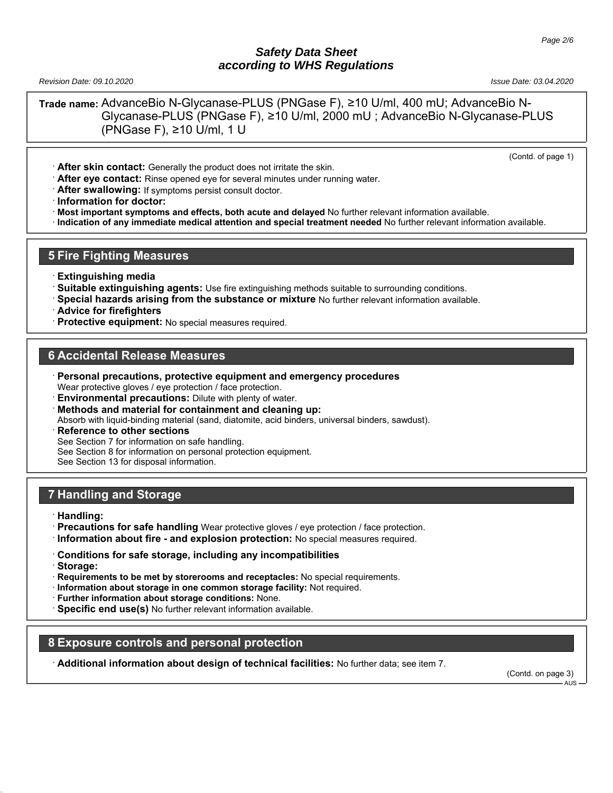*Revision Date: 09.10.2020 Issue Date: 03.04.2020*

**Trade name:** AdvanceBio N-Glycanase-PLUS (PNGase F), ≥10 U/ml, 400 mU; AdvanceBio N-Glycanase-PLUS (PNGase F), ≥10 U/ml, 2000 mU ; AdvanceBio N-Glycanase-PLUS (PNGase F), ≥10 U/ml, 1 U

(Contd. of page 1)

· **After skin contact:** Generally the product does not irritate the skin.

· **After eye contact:** Rinse opened eye for several minutes under running water.

· **After swallowing:** If symptoms persist consult doctor.

· **Information for doctor:**

· **Most important symptoms and effects, both acute and delayed** No further relevant information available.

· **Indication of any immediate medical attention and special treatment needed** No further relevant information available.

### **5 Fire Fighting Measures**

- · **Extinguishing media**
- · **Suitable extinguishing agents:** Use fire extinguishing methods suitable to surrounding conditions.
- · **Special hazards arising from the substance or mixture** No further relevant information available.
- · **Advice for firefighters**
- **Protective equipment:** No special measures required.

## **6 Accidental Release Measures**

- · **Personal precautions, protective equipment and emergency procedures** Wear protective gloves / eye protection / face protection.
- · **Environmental precautions:** Dilute with plenty of water.
- · **Methods and material for containment and cleaning up:**

Absorb with liquid-binding material (sand, diatomite, acid binders, universal binders, sawdust).

**Reference to other sections** 

See Section 7 for information on safe handling.

See Section 8 for information on personal protection equipment.

See Section 13 for disposal information.

### **7 Handling and Storage**

- · **Handling:**
- · **Precautions for safe handling** Wear protective gloves / eye protection / face protection.
- · **Information about fire and explosion protection:** No special measures required.
- · **Conditions for safe storage, including any incompatibilities**
- · **Storage:**
- · **Requirements to be met by storerooms and receptacles:** No special requirements.
- · **Information about storage in one common storage facility:** Not required.
- · **Further information about storage conditions:** None.
- · **Specific end use(s)** No further relevant information available.

# **8 Exposure controls and personal protection**

· **Additional information about design of technical facilities:** No further data; see item 7.

(Contd. on page 3)

AUS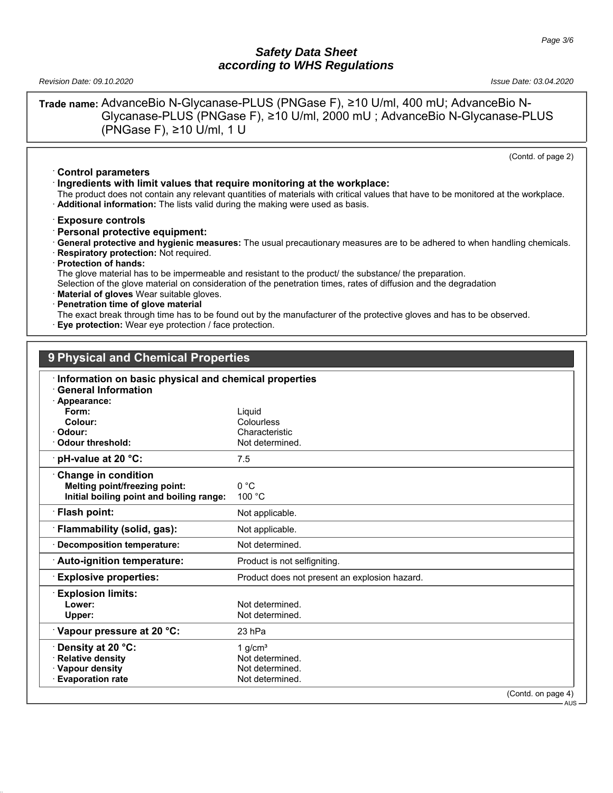*Revision Date: 09.10.2020 Issue Date: 03.04.2020*

**Trade name:** AdvanceBio N-Glycanase-PLUS (PNGase F), ≥10 U/ml, 400 mU; AdvanceBio N-Glycanase-PLUS (PNGase F), ≥10 U/ml, 2000 mU ; AdvanceBio N-Glycanase-PLUS (PNGase F), ≥10 U/ml, 1 U

(Contd. of page 2)

- · **Control parameters** · **Ingredients with limit values that require monitoring at the workplace:**
- The product does not contain any relevant quantities of materials with critical values that have to be monitored at the workplace.
- · **Additional information:** The lists valid during the making were used as basis.

· **Exposure controls**

- · **Personal protective equipment:**
- · **General protective and hygienic measures:** The usual precautionary measures are to be adhered to when handling chemicals.
- · **Respiratory protection:** Not required.
- · **Protection of hands:**

The glove material has to be impermeable and resistant to the product/ the substance/ the preparation.

Selection of the glove material on consideration of the penetration times, rates of diffusion and the degradation

- **Material of gloves** Wear suitable gloves.
- · **Penetration time of glove material**
- The exact break through time has to be found out by the manufacturer of the protective gloves and has to be observed.
- **Eye protection:** Wear eye protection / face protection.

# **9 Physical and Chemical Properties**

| Information on basic physical and chemical properties |                                               |                             |
|-------------------------------------------------------|-----------------------------------------------|-----------------------------|
| <b>General Information</b>                            |                                               |                             |
| Appearance:<br>Form:                                  |                                               |                             |
| Colour:                                               | Liquid<br>Colourless                          |                             |
| Odour:                                                | Characteristic                                |                             |
| Odour threshold:                                      | Not determined.                               |                             |
|                                                       |                                               |                             |
| pH-value at 20 °C:                                    | 7.5                                           |                             |
| <b>Change in condition</b>                            |                                               |                             |
| Melting point/freezing point:                         | 0 °C                                          |                             |
| Initial boiling point and boiling range:              | 100 °C                                        |                             |
| · Flash point:                                        | Not applicable.                               |                             |
| Flammability (solid, gas):                            | Not applicable.                               |                             |
| <b>Decomposition temperature:</b>                     | Not determined.                               |                             |
| Auto-ignition temperature:                            | Product is not selfigniting.                  |                             |
| <b>Explosive properties:</b>                          | Product does not present an explosion hazard. |                             |
| <b>Explosion limits:</b>                              |                                               |                             |
| Lower:                                                | Not determined.                               |                             |
| Upper:                                                | Not determined.                               |                             |
| Vapour pressure at 20 °C:                             | 23 hPa                                        |                             |
| Density at 20 °C:                                     | 1 $g/cm3$                                     |                             |
| <b>Relative density</b>                               | Not determined.                               |                             |
| · Vapour density                                      | Not determined.                               |                             |
| <b>Evaporation rate</b>                               | Not determined.                               |                             |
|                                                       |                                               | (Contd. on page 4)<br>- AUS |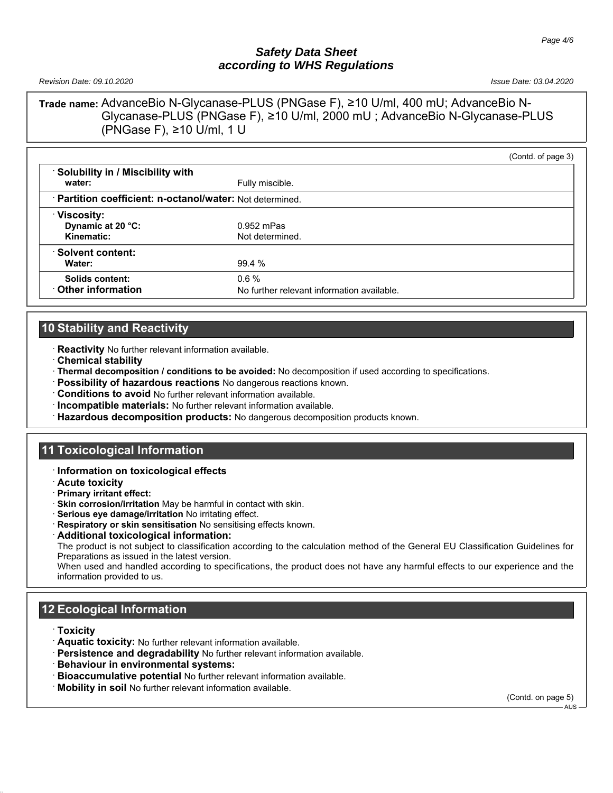*Revision Date: 09.10.2020 Issue Date: 03.04.2020*

**Trade name:** AdvanceBio N-Glycanase-PLUS (PNGase F), ≥10 U/ml, 400 mU; AdvanceBio N-Glycanase-PLUS (PNGase F), ≥10 U/ml, 2000 mU ; AdvanceBio N-Glycanase-PLUS (PNGase F), ≥10 U/ml, 1 U

|                                                           |                                                        | (Contd. of page 3) |
|-----------------------------------------------------------|--------------------------------------------------------|--------------------|
| Solubility in / Miscibility with<br>water:                | Fully miscible.                                        |                    |
| · Partition coefficient: n-octanol/water: Not determined. |                                                        |                    |
| <b>∀iscosity:</b><br>Dynamic at 20 °C:<br>Kinematic:      | $0.952$ mPas<br>Not determined.                        |                    |
| Solvent content:<br>Water:                                | 99.4 %                                                 |                    |
| Solids content:<br>Other information                      | $0.6 \%$<br>No further relevant information available. |                    |

# **10 Stability and Reactivity**

· **Reactivity** No further relevant information available.

- · **Chemical stability**
- · **Thermal decomposition / conditions to be avoided:** No decomposition if used according to specifications.
- · **Possibility of hazardous reactions** No dangerous reactions known.
- · **Conditions to avoid** No further relevant information available.
- · **Incompatible materials:** No further relevant information available.
- · **Hazardous decomposition products:** No dangerous decomposition products known.

# **11 Toxicological Information**

#### · **Information on toxicological effects**

- · **Acute toxicity**
- · **Primary irritant effect:**
- · **Skin corrosion/irritation** May be harmful in contact with skin.
- · **Serious eye damage/irritation** No irritating effect.
- · **Respiratory or skin sensitisation** No sensitising effects known.
- · **Additional toxicological information:**

The product is not subject to classification according to the calculation method of the General EU Classification Guidelines for Preparations as issued in the latest version.

When used and handled according to specifications, the product does not have any harmful effects to our experience and the information provided to us.

# **12 Ecological Information**

- · **Toxicity**
- · **Aquatic toxicity:** No further relevant information available.
- · **Persistence and degradability** No further relevant information available.
- · **Behaviour in environmental systems:**
- · **Bioaccumulative potential** No further relevant information available.
- · **Mobility in soil** No further relevant information available.

(Contd. on page 5)

AUS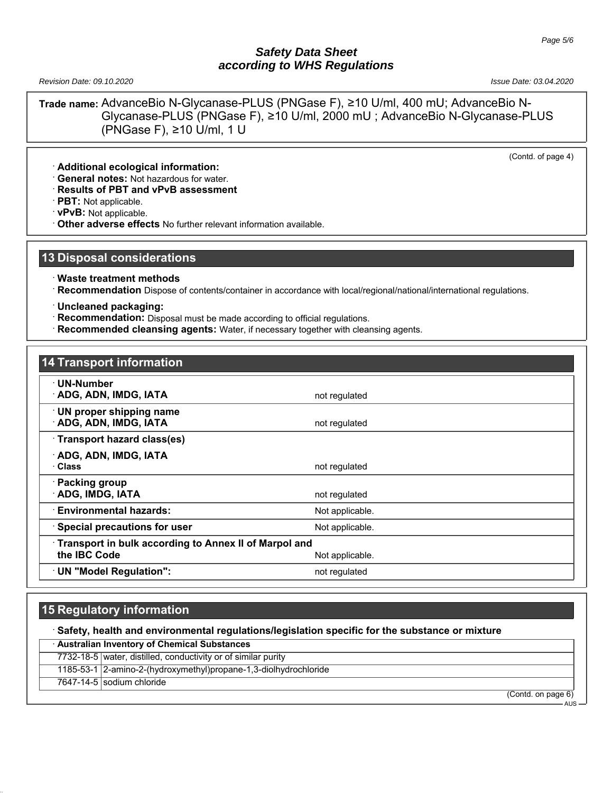*Revision Date: 09.10.2020 Issue Date: 03.04.2020*

**Trade name:** AdvanceBio N-Glycanase-PLUS (PNGase F), ≥10 U/ml, 400 mU; AdvanceBio N-Glycanase-PLUS (PNGase F), ≥10 U/ml, 2000 mU ; AdvanceBio N-Glycanase-PLUS (PNGase F), ≥10 U/ml, 1 U

(Contd. of page 4)

· **Additional ecological information:**

· **General notes:** Not hazardous for water.

· **Results of PBT and vPvB assessment**

· **PBT:** Not applicable.

· **vPvB:** Not applicable.

· **Other adverse effects** No further relevant information available.

#### **13 Disposal considerations**

· **Waste treatment methods**

· **Recommendation** Dispose of contents/container in accordance with local/regional/national/international regulations.

· **Uncleaned packaging:**

- · **Recommendation:** Disposal must be made according to official regulations.
- **Recommended cleansing agents:** Water, if necessary together with cleansing agents.

| <b>14 Transport information</b>                                       |                 |
|-----------------------------------------------------------------------|-----------------|
| ∙ UN-Number<br><b>ADG, ADN, IMDG, IATA</b>                            | not regulated   |
| UN proper shipping name<br><b>ADG, ADN, IMDG, IATA</b>                | not regulated   |
| Transport hazard class(es)                                            |                 |
| ADG, ADN, IMDG, IATA<br>· Class                                       | not regulated   |
| · Packing group<br><b>ADG, IMDG, IATA</b>                             | not regulated   |
| <b>Environmental hazards:</b>                                         | Not applicable. |
| Special precautions for user                                          | Not applicable. |
| Transport in bulk according to Annex II of Marpol and<br>the IBC Code | Not applicable. |
| · UN "Model Regulation":                                              | not regulated   |

# **15 Regulatory information**

#### · **Safety, health and environmental regulations/legislation specific for the substance or mixture**

· **Australian Inventory of Chemical Substances** 7732-18-5 water, distilled, conductivity or of similar purity

1185-53-1 2-amino-2-(hydroxymethyl)propane-1,3-diolhydrochloride

7647-14-5 sodium chloride

(Contd. on page 6)

AUS